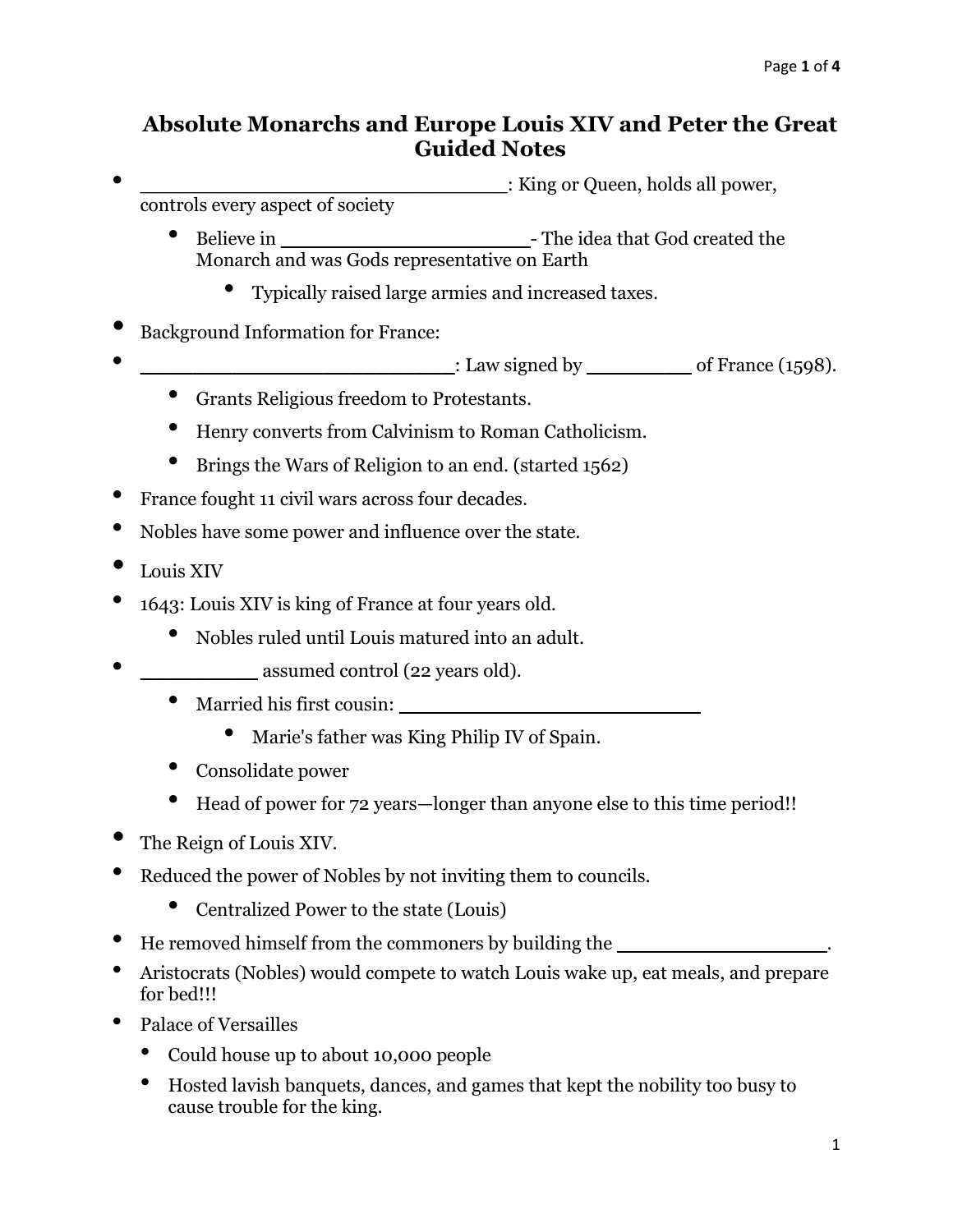## **Absolute Monarchs and Europe Louis XIV and Peter the Great Guided Notes**

• **\_\_\_\_\_\_\_\_\_\_\_\_\_\_\_\_\_\_\_\_\_\_\_\_\_\_\_\_**: King or Queen, holds all power,

controls every aspect of society

- Believe in **\_\_\_\_\_\_\_\_\_\_\_\_\_\_\_\_\_\_\_** The idea that God created the Monarch and was Gods representative on Earth
	- Typically raised large armies and increased taxes.
- Background Information for France:
- **Example 1598 EXAMPLE 1598 CALC 1598 CALC 1598 CALC 1598 CALC 1598 CALC 1598 CALC 1598 CALC 1598 CALC 1598 CALC 1598 CALC 1598 CALC 1598 CALC 1598 CALC 1598 CAL** 
	- Grants Religious freedom to Protestants.
	- Henry converts from Calvinism to Roman Catholicism.
	- Brings the Wars of Religion to an end. (started 1562)
- France fought 11 civil wars across four decades.
- Nobles have some power and influence over the state.
- Louis XIV
- 1643: Louis XIV is king of France at four years old.
	- Nobles ruled until Louis matured into an adult.
- **\_\_\_\_\_\_\_\_\_** assumed control (22 years old).
	- Married his first cousin: **\_\_\_\_\_\_\_\_\_\_\_\_\_\_\_\_\_\_\_\_\_\_\_**
		- Marie's father was King Philip IV of Spain.
	- Consolidate power
	- Head of power for 72 years—longer than anyone else to this time period!!
- The Reign of Louis XIV.
- Reduced the power of Nobles by not inviting them to councils.
	- Centralized Power to the state (Louis)
- He removed himself from the commoners by building the **\_\_\_\_\_\_\_\_\_\_\_\_\_\_\_\_**.
- Aristocrats (Nobles) would compete to watch Louis wake up, eat meals, and prepare for bed!!!
- Palace of Versailles
	- Could house up to about 10,000 people
	- Hosted lavish banquets, dances, and games that kept the nobility too busy to cause trouble for the king.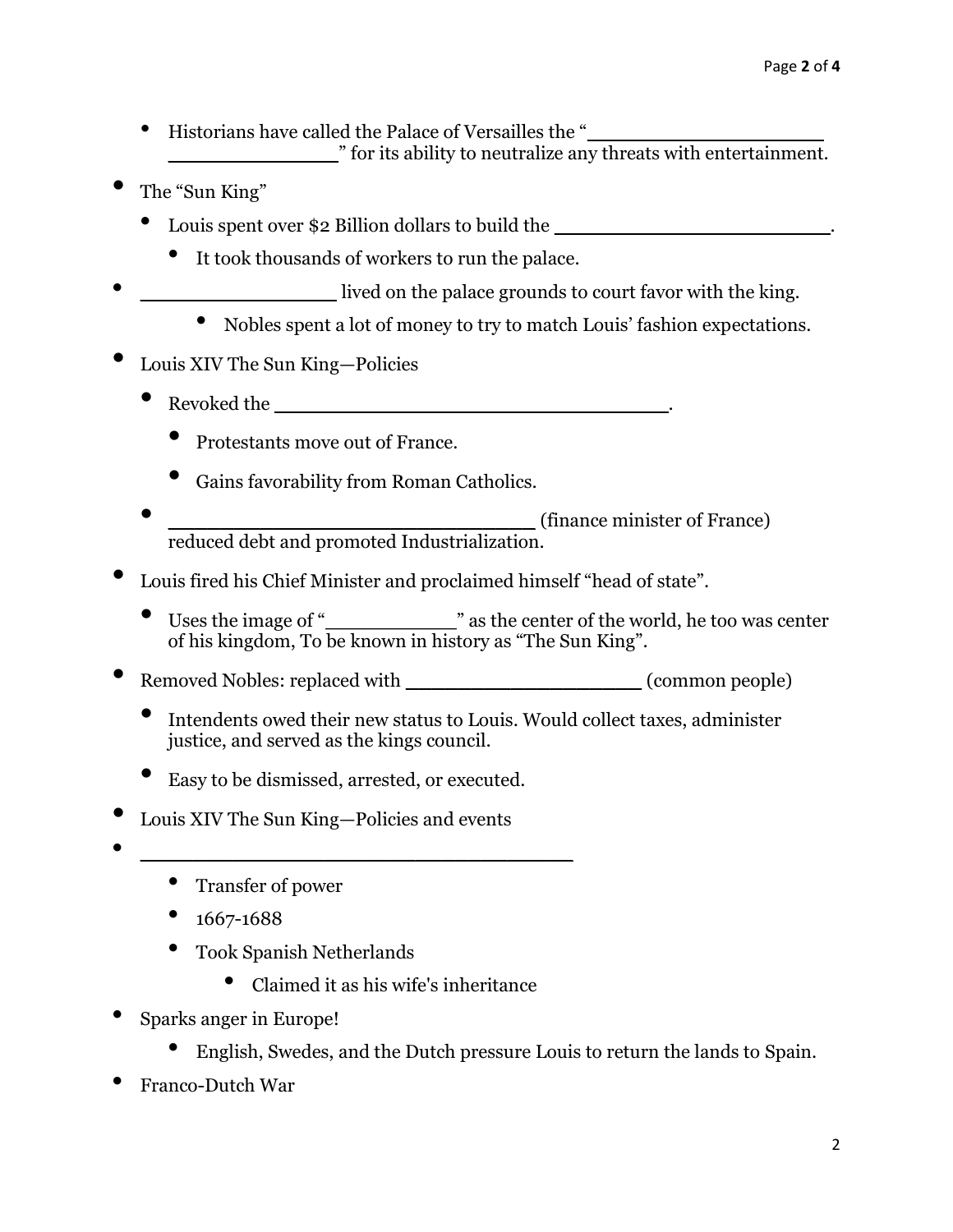- Historians have called the Palace of Versailles the "**\_\_\_\_\_\_\_\_\_\_\_\_\_\_\_\_\_\_ \_\_\_\_\_\_\_\_\_\_\_\_\_**" for its ability to neutralize any threats with entertainment.
- The "Sun King"
	- Louis spent over \$2 Billion dollars to build the **\_\_\_\_\_\_\_\_\_\_\_\_\_\_\_\_\_\_\_\_\_**.
		- It took thousands of workers to run the palace.
- lived on the palace grounds to court favor with the king.
	- Nobles spent a lot of money to try to match Louis' fashion expectations.
- Louis XIV The Sun King—Policies
	- $Revoked the$ 
		- Protestants move out of France.
		- Gains favorability from Roman Catholics.
	- **\_\_\_\_\_\_\_\_\_\_\_\_\_\_\_\_\_\_\_\_\_\_\_\_\_\_\_\_** (finance minister of France) reduced debt and promoted Industrialization.
- Louis fired his Chief Minister and proclaimed himself "head of state".
	- Uses the image of "<sup>"</sup> as the center of the world, he too was center of his kingdom, To be known in history as "The Sun King".
- **Parameter Algebra** Removed Nobles: replaced with **a** *n* (common people)
	- Intendents owed their new status to Louis. Would collect taxes, administer justice, and served as the kings council.
	- Easy to be dismissed, arrested, or executed.
- Louis XIV The Sun King—Policies and events
- **\_\_\_\_\_\_\_\_\_\_\_\_\_\_\_\_\_\_\_\_\_\_\_\_\_\_\_\_\_\_\_\_\_**
	- Transfer of power
	- 1667-1688
	- Took Spanish Netherlands
		- Claimed it as his wife's inheritance
- Sparks anger in Europe!
	- English, Swedes, and the Dutch pressure Louis to return the lands to Spain.
- Franco-Dutch War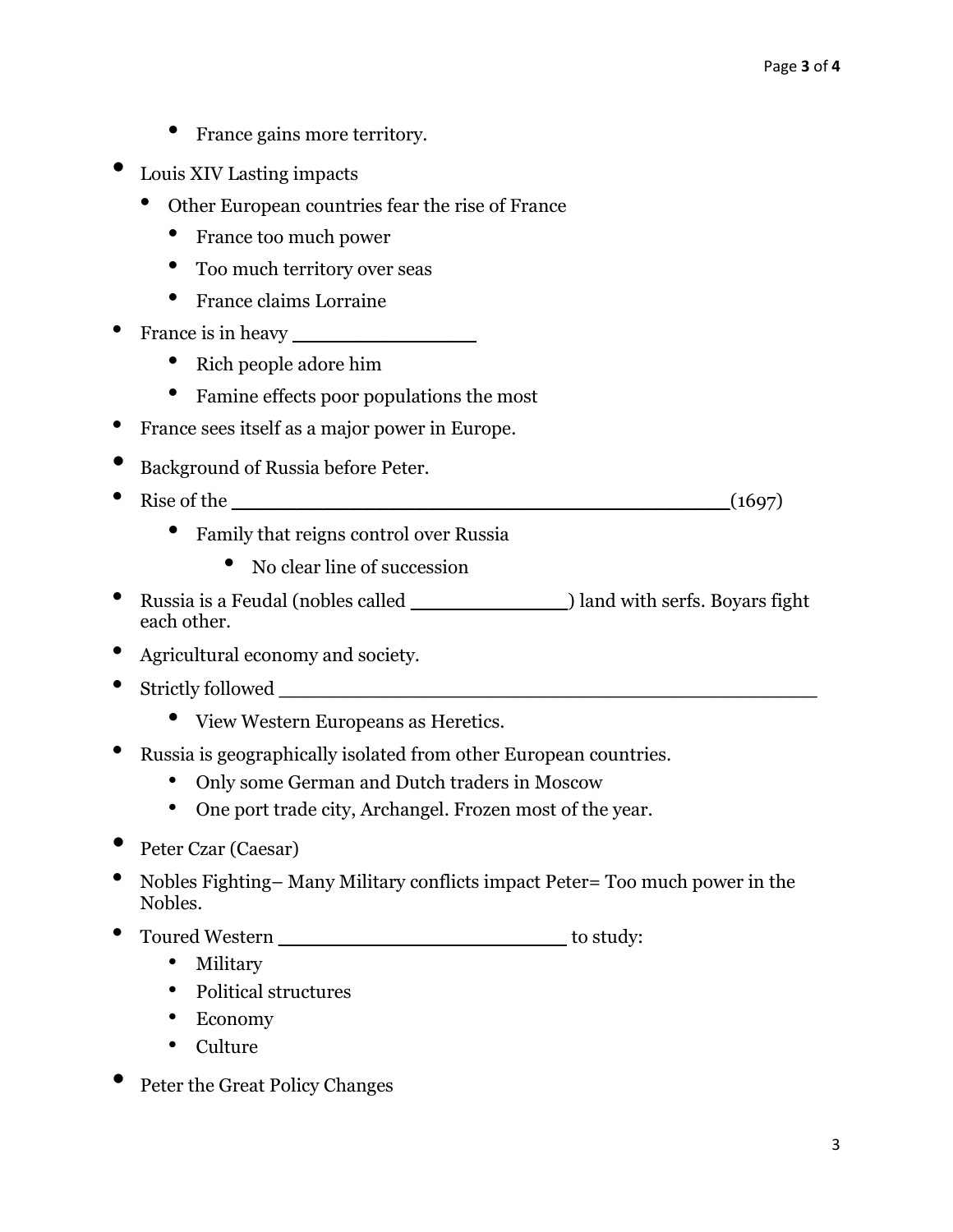- France gains more territory.
- Louis XIV Lasting impacts
	- Other European countries fear the rise of France
		- France too much power
		- Too much territory over seas
		- France claims Lorraine
- France is in heavy **with the set of the set of the set of the set of the set of the set of the set of the set of the set of the set of the set of the set of the set of the set of the set of the set of the set of the set of** 
	- Rich people adore him
	- Famine effects poor populations the most
- France sees itself as a major power in Europe.
- Background of Russia before Peter.
- Rise of the **\_\_\_\_\_\_\_\_\_\_\_\_\_\_\_\_\_\_\_\_\_\_\_\_\_\_\_\_\_\_\_\_\_\_\_\_\_\_**(1697)
	- Family that reigns control over Russia
		- No clear line of succession
- Russia is a Feudal (nobles called **\_\_\_\_\_\_\_\_\_\_\_\_**) land with serfs. Boyars fight each other.
- Agricultural economy and society.
- Strictly followed **\_\_\_\_\_\_\_\_\_\_\_\_\_\_\_\_\_\_\_\_\_\_\_\_\_\_\_\_\_\_\_\_\_\_\_\_\_\_\_\_\_**
	- View Western Europeans as Heretics.
- Russia is geographically isolated from other European countries.
	- Only some German and Dutch traders in Moscow
	- One port trade city, Archangel. Frozen most of the year.
- Peter Czar (Caesar)
- Nobles Fighting– Many Military conflicts impact Peter= Too much power in the Nobles.
- Toured Western **\_\_\_\_\_\_\_\_\_\_\_\_\_\_\_\_\_\_\_\_\_\_** to study:
	- Military
	- Political structures
	- Economy
	- Culture
- Peter the Great Policy Changes